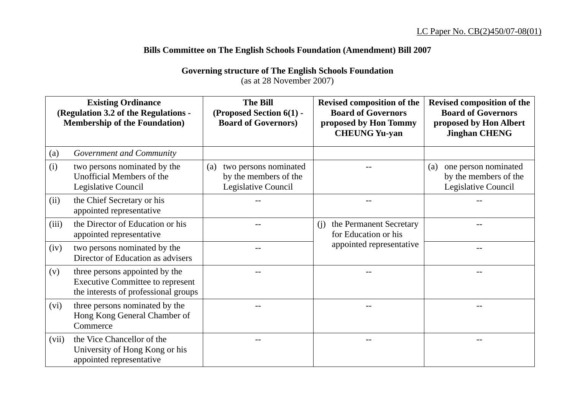## **Bills Committee on The English Schools Foundation (Amendment) Bill 2007**

**Governing structure of The English Schools Foundation** 

(as at 28 November 2007)

| <b>Existing Ordinance</b><br>(Regulation 3.2 of the Regulations -<br><b>Membership of the Foundation</b> ) |                                                                                                                   | <b>The Bill</b><br>(Proposed Section 6(1) -<br><b>Board of Governors)</b>    | <b>Revised composition of the</b><br><b>Board of Governors</b><br>proposed by Hon Tommy<br><b>CHEUNG Yu-yan</b> | Revised composition of the<br><b>Board of Governors</b><br>proposed by Hon Albert<br><b>Jinghan CHENG</b> |
|------------------------------------------------------------------------------------------------------------|-------------------------------------------------------------------------------------------------------------------|------------------------------------------------------------------------------|-----------------------------------------------------------------------------------------------------------------|-----------------------------------------------------------------------------------------------------------|
| (a)                                                                                                        | Government and Community                                                                                          |                                                                              |                                                                                                                 |                                                                                                           |
| (i)                                                                                                        | two persons nominated by the<br>Unofficial Members of the<br>Legislative Council                                  | two persons nominated<br>(a)<br>by the members of the<br>Legislative Council |                                                                                                                 | one person nominated<br>(a)<br>by the members of the<br>Legislative Council                               |
| (ii)                                                                                                       | the Chief Secretary or his<br>appointed representative                                                            |                                                                              |                                                                                                                 |                                                                                                           |
| (iii)                                                                                                      | the Director of Education or his<br>appointed representative                                                      |                                                                              | the Permanent Secretary<br>(i)<br>for Education or his                                                          |                                                                                                           |
| (iv)                                                                                                       | two persons nominated by the<br>Director of Education as advisers                                                 |                                                                              | appointed representative                                                                                        |                                                                                                           |
| (v)                                                                                                        | three persons appointed by the<br><b>Executive Committee to represent</b><br>the interests of professional groups |                                                                              |                                                                                                                 |                                                                                                           |
| (vi)                                                                                                       | three persons nominated by the<br>Hong Kong General Chamber of<br>Commerce                                        |                                                                              |                                                                                                                 |                                                                                                           |
| (vii)                                                                                                      | the Vice Chancellor of the<br>University of Hong Kong or his<br>appointed representative                          |                                                                              |                                                                                                                 |                                                                                                           |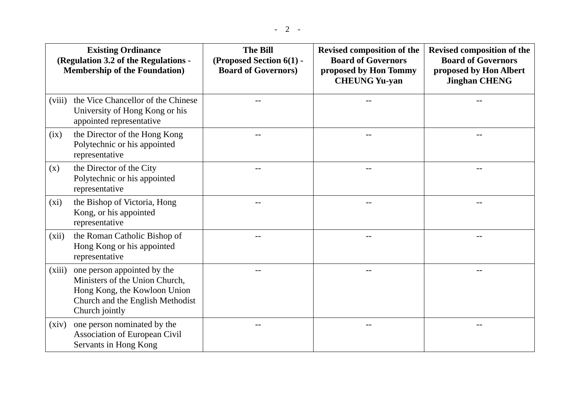| <b>Existing Ordinance</b><br>(Regulation 3.2 of the Regulations -<br><b>Membership of the Foundation</b> ) |                                                                                                                                                     | <b>The Bill</b><br>(Proposed Section 6(1) -<br><b>Board of Governors)</b> | Revised composition of the<br><b>Board of Governors</b><br>proposed by Hon Tommy<br><b>CHEUNG Yu-yan</b> | Revised composition of the<br><b>Board of Governors</b><br>proposed by Hon Albert<br><b>Jinghan CHENG</b> |  |
|------------------------------------------------------------------------------------------------------------|-----------------------------------------------------------------------------------------------------------------------------------------------------|---------------------------------------------------------------------------|----------------------------------------------------------------------------------------------------------|-----------------------------------------------------------------------------------------------------------|--|
| (viii)                                                                                                     | the Vice Chancellor of the Chinese<br>University of Hong Kong or his<br>appointed representative                                                    |                                                                           |                                                                                                          |                                                                                                           |  |
| (ix)                                                                                                       | the Director of the Hong Kong<br>Polytechnic or his appointed<br>representative                                                                     |                                                                           |                                                                                                          |                                                                                                           |  |
| (x)                                                                                                        | the Director of the City<br>Polytechnic or his appointed<br>representative                                                                          |                                                                           |                                                                                                          |                                                                                                           |  |
| $(x_i)$                                                                                                    | the Bishop of Victoria, Hong<br>Kong, or his appointed<br>representative                                                                            |                                                                           |                                                                                                          |                                                                                                           |  |
| (xii)                                                                                                      | the Roman Catholic Bishop of<br>Hong Kong or his appointed<br>representative                                                                        |                                                                           |                                                                                                          |                                                                                                           |  |
| (xiii)                                                                                                     | one person appointed by the<br>Ministers of the Union Church,<br>Hong Kong, the Kowloon Union<br>Church and the English Methodist<br>Church jointly |                                                                           |                                                                                                          |                                                                                                           |  |
| (xiv)                                                                                                      | one person nominated by the<br>Association of European Civil<br>Servants in Hong Kong                                                               |                                                                           |                                                                                                          | --                                                                                                        |  |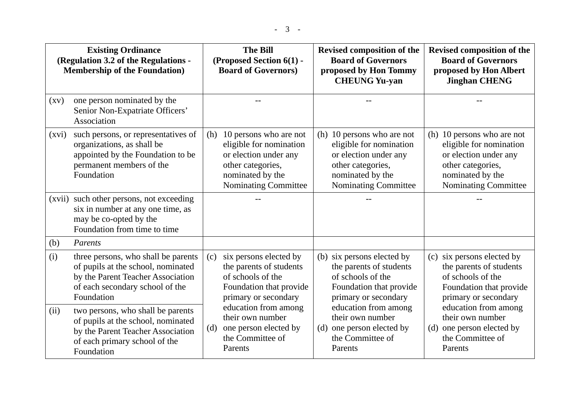| <b>Existing Ordinance</b><br>(Regulation 3.2 of the Regulations -<br><b>Membership of the Foundation</b> ) |                                                                                                                                                                 | <b>The Bill</b><br>(Proposed Section 6(1) -<br><b>Board of Governors)</b> |                                                                                                                                             | Revised composition of the<br><b>Board of Governors</b><br>proposed by Hon Tommy<br><b>CHEUNG Yu-yan</b> |                                                                                                                                                        | Revised composition of the<br><b>Board of Governors</b><br>proposed by Hon Albert<br><b>Jinghan CHENG</b>                                       |
|------------------------------------------------------------------------------------------------------------|-----------------------------------------------------------------------------------------------------------------------------------------------------------------|---------------------------------------------------------------------------|---------------------------------------------------------------------------------------------------------------------------------------------|----------------------------------------------------------------------------------------------------------|--------------------------------------------------------------------------------------------------------------------------------------------------------|-------------------------------------------------------------------------------------------------------------------------------------------------|
| $\left( xy\right)$                                                                                         | one person nominated by the<br>Senior Non-Expatriate Officers'<br>Association                                                                                   |                                                                           |                                                                                                                                             |                                                                                                          |                                                                                                                                                        |                                                                                                                                                 |
| (xvi)                                                                                                      | such persons, or representatives of<br>organizations, as shall be<br>appointed by the Foundation to be<br>permanent members of the<br>Foundation                | (h)                                                                       | 10 persons who are not<br>eligible for nomination<br>or election under any<br>other categories,<br>nominated by the<br>Nominating Committee |                                                                                                          | (h) 10 persons who are not<br>eligible for nomination<br>or election under any<br>other categories,<br>nominated by the<br><b>Nominating Committee</b> | (h) 10 persons who are not<br>eligible for nomination<br>or election under any<br>other categories,<br>nominated by the<br>Nominating Committee |
|                                                                                                            | (xvii) such other persons, not exceeding<br>six in number at any one time, as<br>may be co-opted by the<br>Foundation from time to time                         |                                                                           |                                                                                                                                             |                                                                                                          |                                                                                                                                                        |                                                                                                                                                 |
| (b)                                                                                                        | Parents                                                                                                                                                         |                                                                           |                                                                                                                                             |                                                                                                          |                                                                                                                                                        |                                                                                                                                                 |
| (i)                                                                                                        | three persons, who shall be parents<br>of pupils at the school, nominated<br>by the Parent Teacher Association<br>of each secondary school of the<br>Foundation | (c)                                                                       | six persons elected by<br>the parents of students<br>of schools of the<br>Foundation that provide<br>primary or secondary                   |                                                                                                          | (b) six persons elected by<br>the parents of students<br>of schools of the<br>Foundation that provide<br>primary or secondary                          | (c) six persons elected by<br>the parents of students<br>of schools of the<br>Foundation that provide<br>primary or secondary                   |
| (ii)                                                                                                       | two persons, who shall be parents<br>of pupils at the school, nominated<br>by the Parent Teacher Association<br>of each primary school of the<br>Foundation     | (d)                                                                       | education from among<br>their own number<br>one person elected by<br>the Committee of<br>Parents                                            | (d)                                                                                                      | education from among<br>their own number<br>one person elected by<br>the Committee of<br>Parents                                                       | education from among<br>their own number<br>(d) one person elected by<br>the Committee of<br>Parents                                            |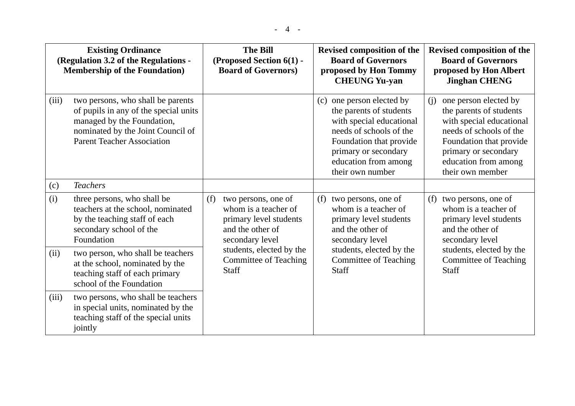| <b>Existing Ordinance</b><br>(Regulation 3.2 of the Regulations -<br><b>Membership of the Foundation</b> ) |                                                                                                                                                                                    | <b>The Bill</b><br>(Proposed Section 6(1) -<br><b>Board of Governors)</b>                                           | <b>Revised composition of the</b><br><b>Board of Governors</b><br>proposed by Hon Tommy<br><b>CHEUNG Yu-yan</b>                                                                                               | Revised composition of the<br><b>Board of Governors</b><br>proposed by Hon Albert<br><b>Jinghan CHENG</b>                                                                                                     |  |
|------------------------------------------------------------------------------------------------------------|------------------------------------------------------------------------------------------------------------------------------------------------------------------------------------|---------------------------------------------------------------------------------------------------------------------|---------------------------------------------------------------------------------------------------------------------------------------------------------------------------------------------------------------|---------------------------------------------------------------------------------------------------------------------------------------------------------------------------------------------------------------|--|
| (iii)                                                                                                      | two persons, who shall be parents<br>of pupils in any of the special units<br>managed by the Foundation,<br>nominated by the Joint Council of<br><b>Parent Teacher Association</b> |                                                                                                                     | one person elected by<br>(c)<br>the parents of students<br>with special educational<br>needs of schools of the<br>Foundation that provide<br>primary or secondary<br>education from among<br>their own number | one person elected by<br>(i)<br>the parents of students<br>with special educational<br>needs of schools of the<br>Foundation that provide<br>primary or secondary<br>education from among<br>their own member |  |
| (c)                                                                                                        | <b>Teachers</b>                                                                                                                                                                    |                                                                                                                     |                                                                                                                                                                                                               |                                                                                                                                                                                                               |  |
| (i)                                                                                                        | three persons, who shall be<br>teachers at the school, nominated<br>by the teaching staff of each<br>secondary school of the<br>Foundation                                         | two persons, one of<br>(f)<br>whom is a teacher of<br>primary level students<br>and the other of<br>secondary level | two persons, one of<br>(f)<br>whom is a teacher of<br>primary level students<br>and the other of<br>secondary level                                                                                           | two persons, one of<br>(f)<br>whom is a teacher of<br>primary level students<br>and the other of<br>secondary level                                                                                           |  |
| (ii)                                                                                                       | two person, who shall be teachers<br>at the school, nominated by the<br>teaching staff of each primary<br>school of the Foundation                                                 | students, elected by the<br><b>Committee of Teaching</b><br><b>Staff</b>                                            | students, elected by the<br><b>Committee of Teaching</b><br>Staff                                                                                                                                             | students, elected by the<br><b>Committee of Teaching</b><br><b>Staff</b>                                                                                                                                      |  |
| (iii)                                                                                                      | two persons, who shall be teachers<br>in special units, nominated by the<br>teaching staff of the special units                                                                    |                                                                                                                     |                                                                                                                                                                                                               |                                                                                                                                                                                                               |  |

jointly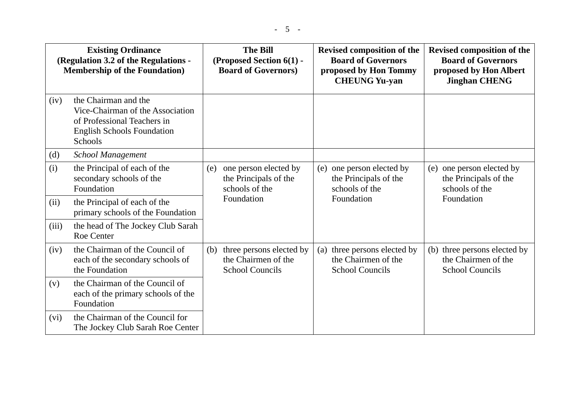| <b>Existing Ordinance</b><br>(Regulation 3.2 of the Regulations -<br><b>Membership of the Foundation</b> ) |                                                                                                                                                | <b>The Bill</b><br>(Proposed Section 6(1) -<br><b>Board of Governors)</b> |                                                                                | <b>Revised composition of the</b><br><b>Board of Governors</b><br>proposed by Hon Tommy<br><b>CHEUNG Yu-yan</b> |                                                                                |     | <b>Revised composition of the</b><br><b>Board of Governors</b><br>proposed by Hon Albert<br><b>Jinghan CHENG</b> |
|------------------------------------------------------------------------------------------------------------|------------------------------------------------------------------------------------------------------------------------------------------------|---------------------------------------------------------------------------|--------------------------------------------------------------------------------|-----------------------------------------------------------------------------------------------------------------|--------------------------------------------------------------------------------|-----|------------------------------------------------------------------------------------------------------------------|
| (iv)                                                                                                       | the Chairman and the<br>Vice-Chairman of the Association<br>of Professional Teachers in<br><b>English Schools Foundation</b><br><b>Schools</b> |                                                                           |                                                                                |                                                                                                                 |                                                                                |     |                                                                                                                  |
| (d)                                                                                                        | <b>School Management</b>                                                                                                                       |                                                                           |                                                                                |                                                                                                                 |                                                                                |     |                                                                                                                  |
| (i)                                                                                                        | the Principal of each of the<br>secondary schools of the<br>Foundation                                                                         | (e)                                                                       | one person elected by<br>the Principals of the<br>schools of the<br>Foundation | (e)                                                                                                             | one person elected by<br>the Principals of the<br>schools of the<br>Foundation | (e) | one person elected by<br>the Principals of the<br>schools of the<br>Foundation                                   |
| (ii)                                                                                                       | the Principal of each of the<br>primary schools of the Foundation                                                                              |                                                                           |                                                                                |                                                                                                                 |                                                                                |     |                                                                                                                  |
| (iii)                                                                                                      | the head of The Jockey Club Sarah<br><b>Roe Center</b>                                                                                         |                                                                           |                                                                                |                                                                                                                 |                                                                                |     |                                                                                                                  |
| (iv)                                                                                                       | the Chairman of the Council of<br>each of the secondary schools of<br>the Foundation                                                           | (b)                                                                       | three persons elected by<br>the Chairmen of the<br><b>School Councils</b>      | (a)                                                                                                             | three persons elected by<br>the Chairmen of the<br><b>School Councils</b>      | (b) | three persons elected by<br>the Chairmen of the<br><b>School Councils</b>                                        |
| (v)                                                                                                        | the Chairman of the Council of<br>each of the primary schools of the<br>Foundation                                                             |                                                                           |                                                                                |                                                                                                                 |                                                                                |     |                                                                                                                  |
| (vi)                                                                                                       | the Chairman of the Council for<br>The Jockey Club Sarah Roe Center                                                                            |                                                                           |                                                                                |                                                                                                                 |                                                                                |     |                                                                                                                  |